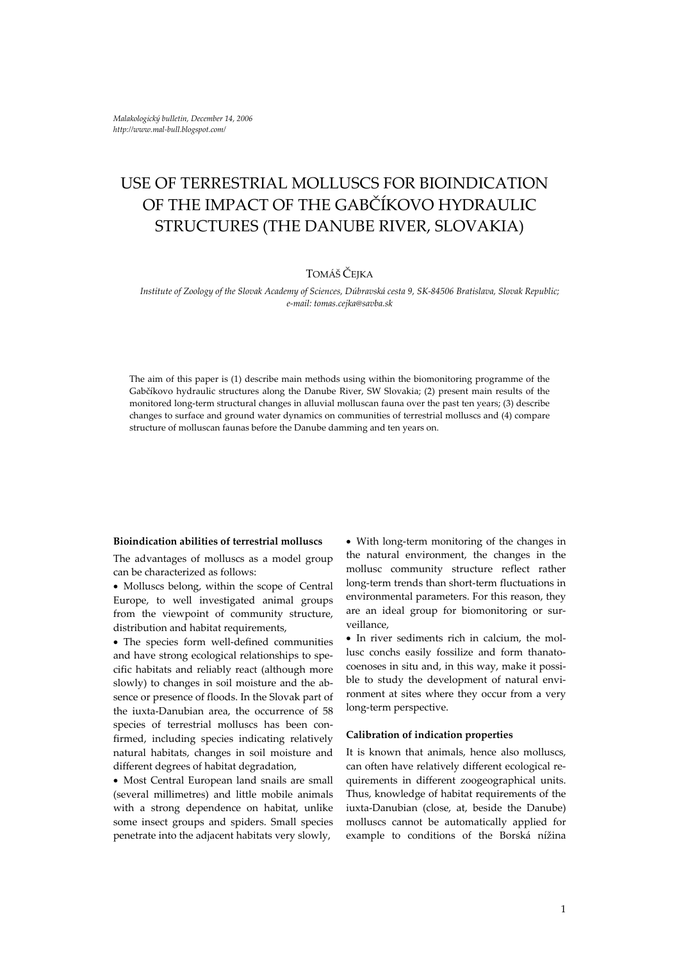# USE OF TERRESTRIAL MOLLUSCS FOR BIOINDICATION OF THE IMPACT OF THE GABČÍKOVO HYDRAULIC STRUCTURES (THE DANUBE RIVER, SLOVAKIA)

## TOMÁŠ ČEJKA

#### Institute of Zoology of the Slovak Academy of Sciences, Dúbravská cesta 9, SK-84506 Bratislava, Slovak Republic; *e‐mail: tomas.cejka@savba.sk*

The aim of this paper is (1) describe main methods using within the biomonitoring programme of the Gabčíkovo hydraulic structures along the Danube River, SW Slovakia; (2) present main results of the monitored long-term structural changes in alluvial molluscan fauna over the past ten years; (3) describe changes to surface and ground water dynamics on communities of terrestrial molluscs and (4) compare structure of molluscan faunas before the Danube damming and ten years on.

#### **Bioindication abilities of terrestrial molluscs**

The advantages of molluscs as a model group can be characterized as follows:

• Molluscs belong, within the scope of Central Europe, to well investigated animal groups from the viewpoint of community structure, distribution and habitat requirements,

• The species form well‐defined communities and have strong ecological relationships to specific habitats and reliably react (although more slowly) to changes in soil moisture and the absence or presence of floods. In the Slovak part of the iuxta‐Danubian area, the occurrence of 58 species of terrestrial molluscs has been confirmed, including species indicating relatively natural habitats, changes in soil moisture and different degrees of habitat degradation,

• Most Central European land snails are small (several millimetres) and little mobile animals with a strong dependence on habitat, unlike some insect groups and spiders. Small species penetrate into the adjacent habitats very slowly,

• With long‐term monitoring of the changes in the natural environment, the changes in the mollusc community structure reflect rather long‐term trends than short‐term fluctuations in environmental parameters. For this reason, they are an ideal group for biomonitoring or surveillance,

• In river sediments rich in calcium, the mollusc conchs easily fossilize and form thanato‐ coenoses in situ and, in this way, make it possible to study the development of natural environment at sites where they occur from a very long‐term perspective.

#### **Calibration of indication properties**

It is known that animals, hence also molluscs, can often have relatively different ecological re‐ quirements in different zoogeographical units. Thus, knowledge of habitat requirements of the iuxta‐Danubian (close, at, beside the Danube) molluscs cannot be automatically applied for example to conditions of the Borská nížina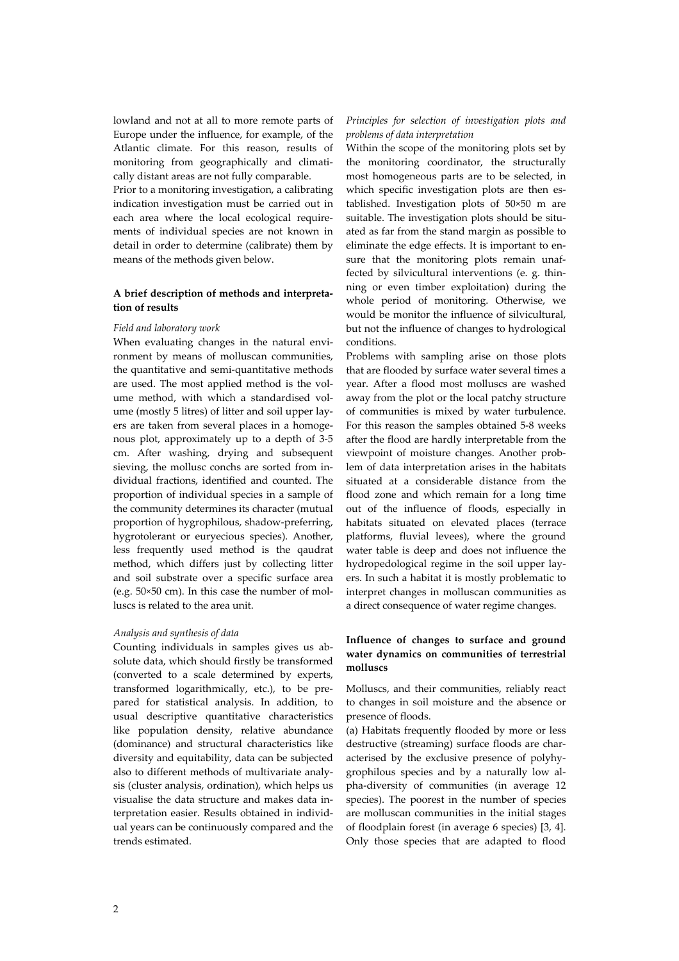lowland and not at all to more remote parts of Europe under the influence, for example, of the Atlantic climate. For this reason, results of monitoring from geographically and climati‐ cally distant areas are not fully comparable.

Prior to a monitoring investigation, a calibrating indication investigation must be carried out in each area where the local ecological requirements of individual species are not known in detail in order to determine (calibrate) them by means of the methods given below.

### **A brief description of methods and interpreta‐ tion of results**

#### *Field and laboratory work*

When evaluating changes in the natural environment by means of molluscan communities, the quantitative and semi‐quantitative methods are used. The most applied method is the volume method, with which a standardised volume (mostly 5 litres) of litter and soil upper lay‐ ers are taken from several places in a homogenous plot, approximately up to a depth of 3‐5 cm. After washing, drying and subsequent sieving, the mollusc conchs are sorted from individual fractions, identified and counted. The proportion of individual species in a sample of the community determines its character (mutual proportion of hygrophilous, shadow‐preferring, hygrotolerant or euryecious species). Another, less frequently used method is the qaudrat method, which differs just by collecting litter and soil substrate over a specific surface area (e.g.  $50 \times 50$  cm). In this case the number of molluscs is related to the area unit.

#### *Analysis and synthesis of data*

Counting individuals in samples gives us ab‐ solute data, which should firstly be transformed (converted to a scale determined by experts, transformed logarithmically, etc.), to be pre‐ pared for statistical analysis. In addition, to usual descriptive quantitative characteristics like population density, relative abundance (dominance) and structural characteristics like diversity and equitability, data can be subjected also to different methods of multivariate analy‐ sis (cluster analysis, ordination), which helps us visualise the data structure and makes data in‐ terpretation easier. Results obtained in individual years can be continuously compared and the trends estimated.

## *Principles for selection of investigation plots and problems of data interpretation*

Within the scope of the monitoring plots set by the monitoring coordinator, the structurally most homogeneous parts are to be selected, in which specific investigation plots are then established. Investigation plots of 50×50 m are suitable. The investigation plots should be situated as far from the stand margin as possible to eliminate the edge effects. It is important to en‐ sure that the monitoring plots remain unaffected by silvicultural interventions (e. g. thin‐ ning or even timber exploitation) during the whole period of monitoring. Otherwise, we would be monitor the influence of silvicultural, but not the influence of changes to hydrological conditions.

Problems with sampling arise on those plots that are flooded by surface water several times a year. After a flood most molluscs are washed away from the plot or the local patchy structure of communities is mixed by water turbulence. For this reason the samples obtained 5‐8 weeks after the flood are hardly interpretable from the viewpoint of moisture changes. Another prob‐ lem of data interpretation arises in the habitats situated at a considerable distance from the flood zone and which remain for a long time out of the influence of floods, especially in habitats situated on elevated places (terrace platforms, fluvial levees), where the ground water table is deep and does not influence the hydropedological regime in the soil upper lay‐ ers. In such a habitat it is mostly problematic to interpret changes in molluscan communities as a direct consequence of water regime changes.

## **Influence of changes to surface and ground water dynamics on communities of terrestrial molluscs**

Molluscs, and their communities, reliably react to changes in soil moisture and the absence or presence of floods.

(a) Habitats frequently flooded by more or less destructive (streaming) surface floods are char‐ acterised by the exclusive presence of polyhy‐ grophilous species and by a naturally low al‐ pha‐diversity of communities (in average 12 species). The poorest in the number of species are molluscan communities in the initial stages of floodplain forest (in average 6 species) [3, 4]. Only those species that are adapted to flood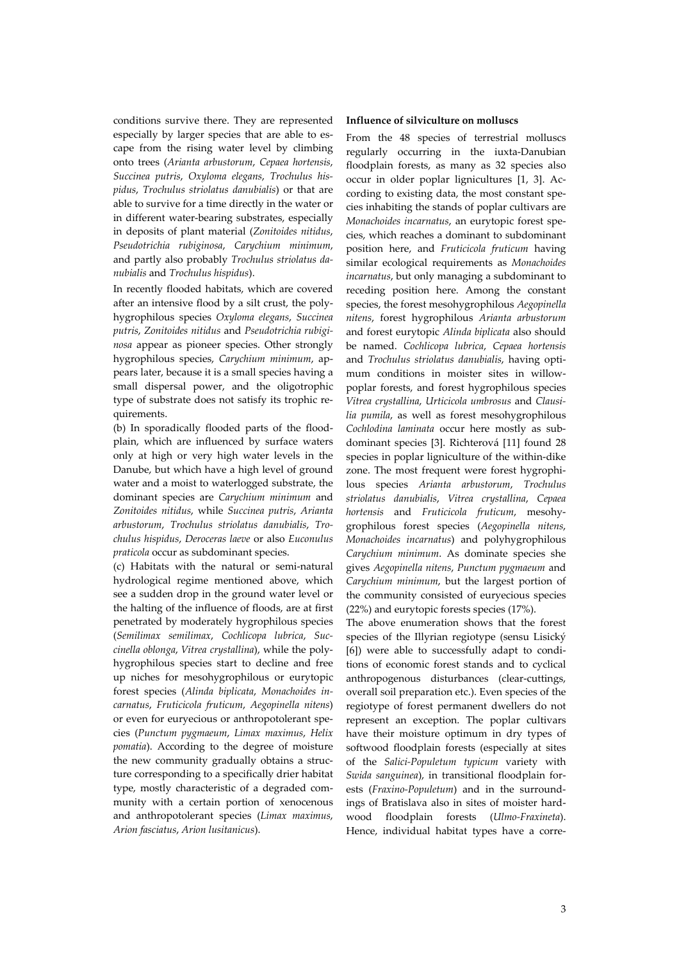conditions survive there. They are represented especially by larger species that are able to escape from the rising water level by climbing onto trees (*Arianta arbustorum*, *Cepaea hortensis*, *Succinea putris*, *Oxyloma elegans*, *Trochulus his‐ pidus*, *Trochulus striolatus danubialis*) or that are able to survive for a time directly in the water or in different water-bearing substrates, especially in deposits of plant material (*Zonitoides nitidus*, *Pseudotrichia rubiginosa*, *Carychium minimum*, and partly also probably *Trochulus striolatus da‐ nubialis* and *Trochulus hispidus*).

In recently flooded habitats, which are covered after an intensive flood by a silt crust, the poly‐ hygrophilous species *Oxyloma elegans*, *Succinea putris*, *Zonitoides nitidus* and *Pseudotrichia rubigi‐ nosa* appear as pioneer species. Other strongly hygrophilous species, *Carychium minimum*, ap‐ pears later, because it is a small species having a small dispersal power, and the oligotrophic type of substrate does not satisfy its trophic re‐ quirements.

(b) In sporadically flooded parts of the flood‐ plain, which are influenced by surface waters only at high or very high water levels in the Danube, but which have a high level of ground water and a moist to waterlogged substrate, the dominant species are *Carychium minimum* and *Zonitoides nitidus*, while *Succinea putris*, *Arianta arbustorum*, *Trochulus striolatus danubialis*, *Tro‐ chulus hispidus*, *Deroceras laeve* or also *Euconulus praticola* occur as subdominant species.

(c) Habitats with the natural or semi‐natural hydrological regime mentioned above, which see a sudden drop in the ground water level or the halting of the influence of floods, are at first penetrated by moderately hygrophilous species (*Semilimax semilimax*, *Cochlicopa lubrica*, *Suc‐ cinella oblonga*, *Vitrea crystallina*), while the poly‐ hygrophilous species start to decline and free up niches for mesohygrophilous or eurytopic forest species (*Alinda biplicata*, *Monachoides in‐ carnatus*, *Fruticicola fruticum*, *Aegopinella nitens*) or even for euryecious or anthropotolerant spe‐ cies (*Punctum pygmaeum*, *Limax maximus*, *Helix pomatia*). According to the degree of moisture the new community gradually obtains a structure corresponding to a specifically drier habitat type, mostly characteristic of a degraded com‐ munity with a certain portion of xenocenous and anthropotolerant species (*Limax maximus*, *Arion fasciatus*, *Arion lusitanicus*).

#### **Influence of silviculture on molluscs**

From the 48 species of terrestrial molluscs regularly occurring in the iuxta‐Danubian floodplain forests, as many as 32 species also occur in older poplar lignicultures [1, 3]. Ac‐ cording to existing data, the most constant species inhabiting the stands of poplar cultivars are *Monachoides incarnatus*, an eurytopic forest spe‐ cies, which reaches a dominant to subdominant position here, and *Fruticicola fruticum* having similar ecological requirements as *Monachoides incarnatus*, but only managing a subdominant to receding position here. Among the constant species, the forest mesohygrophilous *Aegopinella nitens*, forest hygrophilous *Arianta arbustorum* and forest eurytopic *Alinda biplicata* also should be named. *Cochlicopa lubrica*, *Cepaea hortensis* and *Trochulus striolatus danubialis*, having opti‐ mum conditions in moister sites in willow‐ poplar forests, and forest hygrophilous species *Vitrea crystallina*, *Urticicola umbrosus* and *Clausi‐ lia pumila*, as well as forest mesohygrophilous *Cochlodina laminata* occur here mostly as sub‐ dominant species [3]. Richterová [11] found 28 species in poplar ligniculture of the within‐dike zone. The most frequent were forest hygrophi‐ lous species *Arianta arbustorum*, *Trochulus striolatus danubialis*, *Vitrea crystallina*, *Cepaea hortensis* and *Fruticicola fruticum*, mesohy‐ grophilous forest species (*Aegopinella nitens*, *Monachoides incarnatus*) and polyhygrophilous *Carychium minimum*. As dominate species she gives *Aegopinella nitens*, *Punctum pygmaeum* and *Carychium minimum*, but the largest portion of the community consisted of euryecious species (22%) and eurytopic forests species (17%).

The above enumeration shows that the forest species of the Illyrian regiotype (sensu Lisický [6]) were able to successfully adapt to conditions of economic forest stands and to cyclical anthropogenous disturbances (clear‐cuttings, overall soil preparation etc.). Even species of the regiotype of forest permanent dwellers do not represent an exception. The poplar cultivars have their moisture optimum in dry types of softwood floodplain forests (especially at sites of the *Salici‐Populetum typicum* variety with *Swida sanguinea*), in transitional floodplain for‐ ests (*Fraxino‐Populetum*) and in the surround‐ ings of Bratislava also in sites of moister hard‐ wood floodplain forests (*Ulmo‐Fraxineta*). Hence, individual habitat types have a corre‐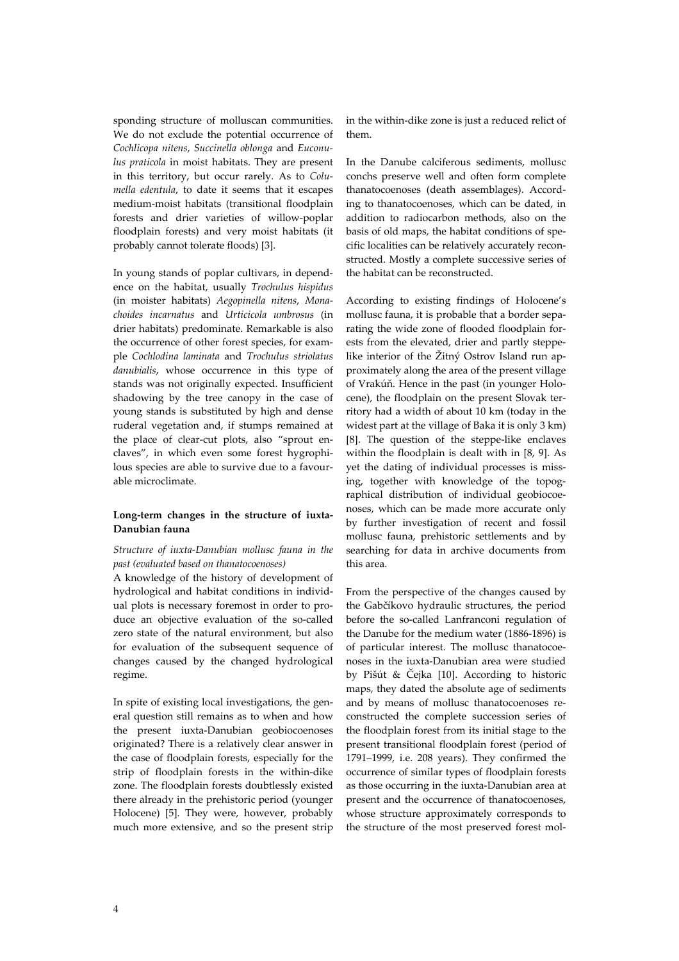sponding structure of molluscan communities. We do not exclude the potential occurrence of *Cochlicopa nitens*, *Succinella oblonga* and *Euconu‐ lus praticola* in moist habitats. They are present in this territory, but occur rarely. As to *Colu‐ mella edentula*, to date it seems that it escapes medium‐moist habitats (transitional floodplain forests and drier varieties of willow‐poplar floodplain forests) and very moist habitats (it probably cannot tolerate floods) [3].

In young stands of poplar cultivars, in depend‐ ence on the habitat, usually *Trochulus hispidus* (in moister habitats) *Aegopinella nitens*, *Mona‐ choides incarnatus* and *Urticicola umbrosus* (in drier habitats) predominate. Remarkable is also the occurrence of other forest species, for example *Cochlodina laminata* and *Trochulus striolatus danubialis*, whose occurrence in this type of stands was not originally expected. Insufficient shadowing by the tree canopy in the case of young stands is substituted by high and dense ruderal vegetation and, if stumps remained at the place of clear-cut plots, also "sprout enclaves", in which even some forest hygrophi‐ lous species are able to survive due to a favour‐ able microclimate.

## **Long‐term changes in the structure of iuxta‐ Danubian fauna**

## *Structure of iuxta‐Danubian mollusc fauna in the past (evaluated based on thanatocoenoses)*

A knowledge of the history of development of hydrological and habitat conditions in individ‐ ual plots is necessary foremost in order to pro‐ duce an objective evaluation of the so-called zero state of the natural environment, but also for evaluation of the subsequent sequence of changes caused by the changed hydrological regime.

In spite of existing local investigations, the general question still remains as to when and how the present iuxta‐Danubian geobiocoenoses originated? There is a relatively clear answer in the case of floodplain forests, especially for the strip of floodplain forests in the within‐dike zone. The floodplain forests doubtlessly existed there already in the prehistoric period (younger Holocene) [5]. They were, however, probably much more extensive, and so the present strip

in the within‐dike zone is just a reduced relict of them.

In the Danube calciferous sediments, mollusc conchs preserve well and often form complete thanatocoenoses (death assemblages). Accord‐ ing to thanatocoenoses, which can be dated, in addition to radiocarbon methods, also on the basis of old maps, the habitat conditions of specific localities can be relatively accurately reconstructed. Mostly a complete successive series of the habitat can be reconstructed.

According to existing findings of Holocene's mollusc fauna, it is probable that a border sepa‐ rating the wide zone of flooded floodplain for‐ ests from the elevated, drier and partly steppe‐ like interior of the Žitný Ostrov Island run ap‐ proximately along the area of the present village of Vrakúň. Hence in the past (in younger Holo‐ cene), the floodplain on the present Slovak territory had a width of about 10 km (today in the widest part at the village of Baka it is only 3 km) [8]. The question of the steppe‐like enclaves within the floodplain is dealt with in [8, 9]. As yet the dating of individual processes is missing, together with knowledge of the topog‐ raphical distribution of individual geobiocoe‐ noses, which can be made more accurate only by further investigation of recent and fossil mollusc fauna, prehistoric settlements and by searching for data in archive documents from this area.

From the perspective of the changes caused by the Gabčíkovo hydraulic structures, the period before the so-called Lanfranconi regulation of the Danube for the medium water (1886‐1896) is of particular interest. The mollusc thanatocoe‐ noses in the iuxta‐Danubian area were studied by Pišút & Čejka [10]. According to historic maps, they dated the absolute age of sediments and by means of mollusc thanatocoenoses re‐ constructed the complete succession series of the floodplain forest from its initial stage to the present transitional floodplain forest (period of 1791–1999, i.e. 208 years). They confirmed the occurrence of similar types of floodplain forests as those occurring in the iuxta‐Danubian area at present and the occurrence of thanatocoenoses, whose structure approximately corresponds to the structure of the most preserved forest mol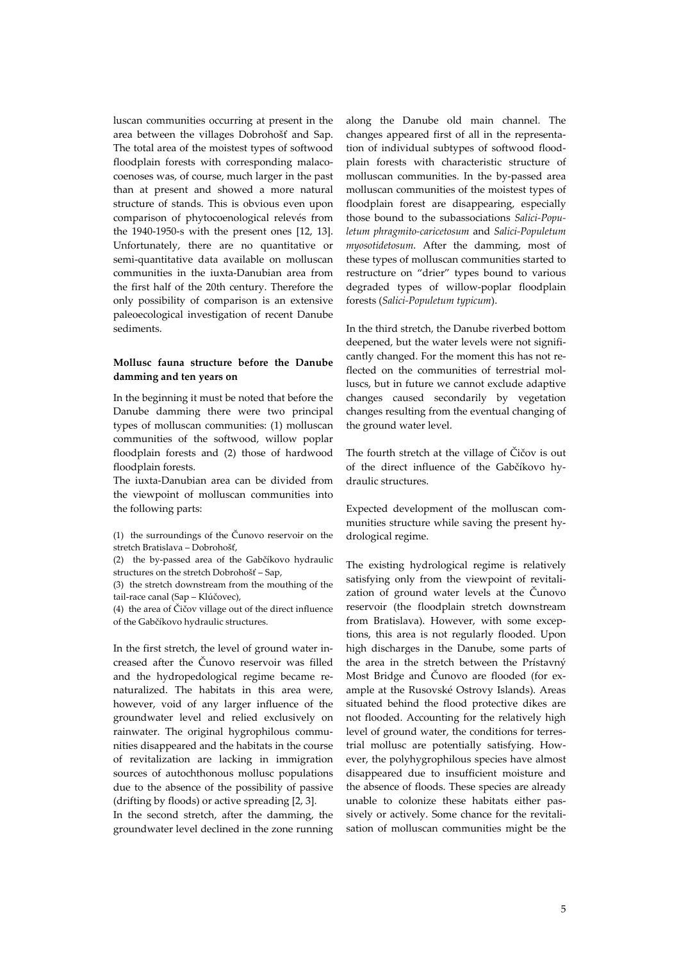luscan communities occurring at present in the area between the villages Dobrohošť and Sap. The total area of the moistest types of softwood floodplain forests with corresponding malacocoenoses was, of course, much larger in the past than at present and showed a more natural structure of stands. This is obvious even upon comparison of phytocoenological relevés from the 1940‐1950‐s with the present ones [12, 13]. Unfortunately, there are no quantitative or semi‐quantitative data available on molluscan communities in the iuxta‐Danubian area from the first half of the 20th century. Therefore the only possibility of comparison is an extensive paleoecological investigation of recent Danube sediments.

## **Mollusc fauna structure before the Danube damming and ten years on**

In the beginning it must be noted that before the Danube damming there were two principal types of molluscan communities: (1) molluscan communities of the softwood, willow poplar floodplain forests and (2) those of hardwood floodplain forests.

The iuxta‐Danubian area can be divided from the viewpoint of molluscan communities into the following parts:

(1) the surroundings of the Čunovo reservoir on the stretch Bratislava – Dobrohošť,

(2) the by-passed area of the Gabčíkovo hydraulic structures on the stretch Dobrohošť – Sap,

(3) the stretch downstream from the mouthing of the tail‐race canal (Sap – Klúčovec),

(4) the area of Čičov village out of the direct influence of the Gabčíkovo hydraulic structures.

In the first stretch, the level of ground water in‐ creased after the Čunovo reservoir was filled and the hydropedological regime became re‐ naturalized. The habitats in this area were, however, void of any larger influence of the groundwater level and relied exclusively on rainwater. The original hygrophilous communities disappeared and the habitats in the course of revitalization are lacking in immigration sources of autochthonous mollusc populations due to the absence of the possibility of passive (drifting by floods) or active spreading [2, 3].

In the second stretch, after the damming, the groundwater level declined in the zone running along the Danube old main channel. The changes appeared first of all in the representa‐ tion of individual subtypes of softwood flood‐ plain forests with characteristic structure of molluscan communities. In the by‐passed area molluscan communities of the moistest types of floodplain forest are disappearing, especially those bound to the subassociations *Salici‐Popu‐ letum phragmito‐caricetosum* and *Salici‐Populetum myosotidetosum*. After the damming, most of these types of molluscan communities started to restructure on "drier" types bound to various degraded types of willow‐poplar floodplain forests (*Salici‐Populetum typicum*).

In the third stretch, the Danube riverbed bottom deepened, but the water levels were not significantly changed. For the moment this has not re‐ flected on the communities of terrestrial molluscs, but in future we cannot exclude adaptive changes caused secondarily by vegetation changes resulting from the eventual changing of the ground water level.

The fourth stretch at the village of Čičov is out of the direct influence of the Gabčíkovo hy‐ draulic structures.

Expected development of the molluscan communities structure while saving the present hydrological regime.

The existing hydrological regime is relatively satisfying only from the viewpoint of revitalization of ground water levels at the Čunovo reservoir (the floodplain stretch downstream from Bratislava). However, with some exceptions, this area is not regularly flooded. Upon high discharges in the Danube, some parts of the area in the stretch between the Prístavný Most Bridge and Čunovo are flooded (for example at the Rusovské Ostrovy Islands). Areas situated behind the flood protective dikes are not flooded. Accounting for the relatively high level of ground water, the conditions for terrestrial mollusc are potentially satisfying. How‐ ever, the polyhygrophilous species have almost disappeared due to insufficient moisture and the absence of floods. These species are already unable to colonize these habitats either pas‐ sively or actively. Some chance for the revitali‐ sation of molluscan communities might be the